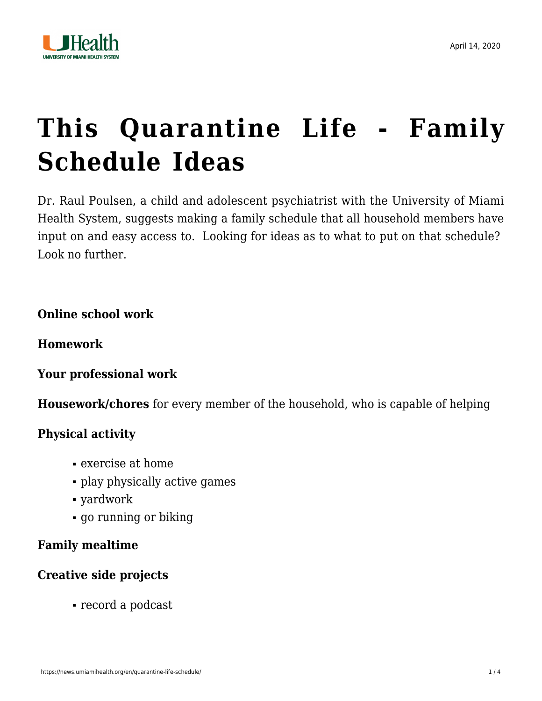

# **[This Quarantine Life - Family](https://news.umiamihealth.org/en/quarantine-life-schedule/) [Schedule Ideas](https://news.umiamihealth.org/en/quarantine-life-schedule/)**

[Dr. Raul Poulsen](https://doctors.umiamihealth.org/provider/Raul+Poulsen/749472?_ga=2.103758601.881045719.1586135566-1940541531.1506175809), a child and adolescent psychiatrist with the University of Miami Health System, suggests making a family schedule that all household members have input on and easy access to. Looking for ideas as to what to put on that schedule? Look no further.

**Online school work**

**Homework**

**Your professional work**

**Housework/chores** for every member of the household, who is capable of helping

#### **Physical activity**

- exercise at home
- play physically active games
- yardwork
- go running or biking

#### **Family mealtime**

## **Creative side projects**

record a podcast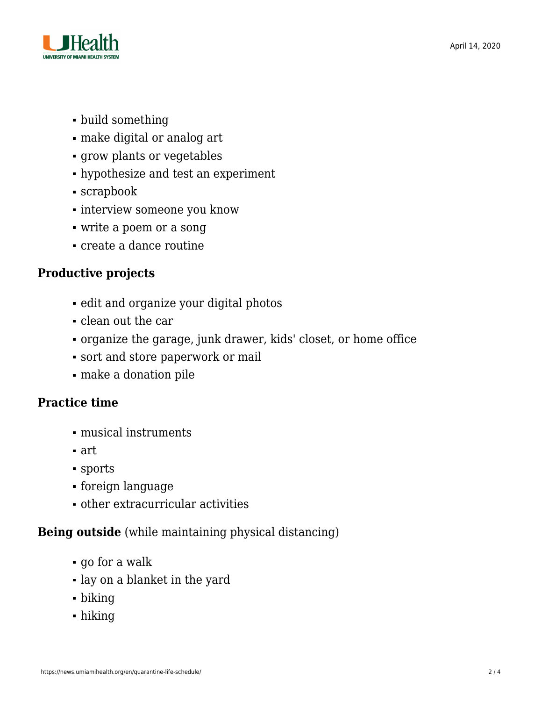

- build something
- make digital or analog art
- grow plants or vegetables
- hypothesize and test an experiment
- scrapbook
- interview someone you know
- write a poem or a song
- create a dance routine

# **Productive projects**

- edit and organize your digital photos
- clean out the car
- organize the garage, junk drawer, kids' closet, or home office
- sort and store paperwork or mail
- make a donation pile

## **Practice time**

- musical instruments
- art
- sports
- foreign language
- other extracurricular activities

# **Being outside** (while maintaining physical distancing)

- go for a walk
- lay on a blanket in the yard
- biking
- hiking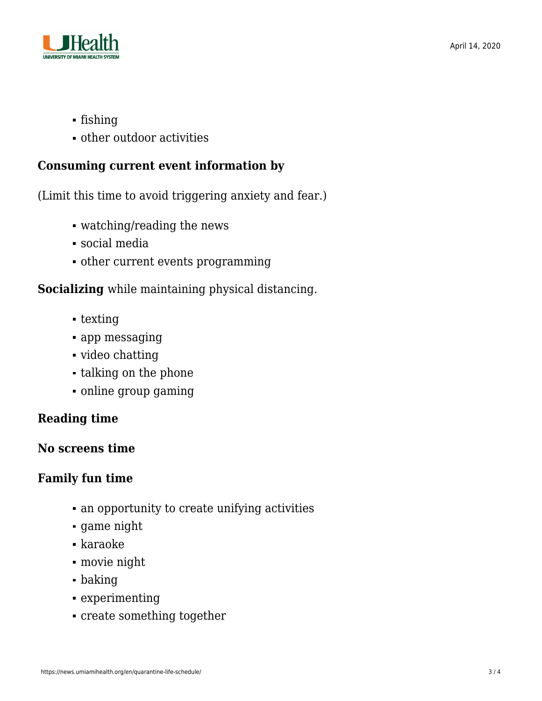

- fishing
- other outdoor activities

#### **Consuming current event information by**

(Limit this time to avoid triggering anxiety and fear.)

- watching/reading the news
- social media
- other current events programming

## **Socializing** while maintaining physical distancing.

- texting
- app messaging
- video chatting
- talking on the phone
- online group gaming

## **Reading time**

## **No screens time**

## **Family fun time**

- an opportunity to create unifying activities
- game night
- karaoke
- movie night
- baking
- experimenting
- create something together